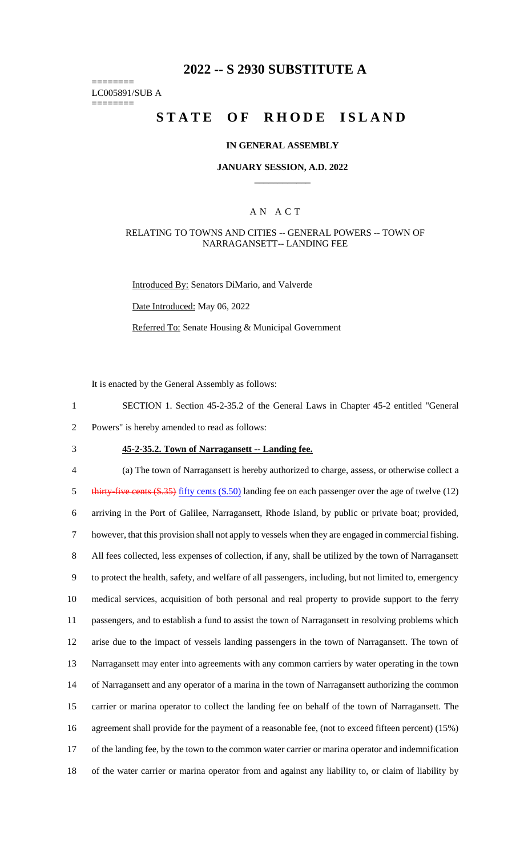# **2022 -- S 2930 SUBSTITUTE A**

======== LC005891/SUB A ========

# **STATE OF RHODE ISLAND**

#### **IN GENERAL ASSEMBLY**

#### **JANUARY SESSION, A.D. 2022 \_\_\_\_\_\_\_\_\_\_\_\_**

### A N A C T

#### RELATING TO TOWNS AND CITIES -- GENERAL POWERS -- TOWN OF NARRAGANSETT-- LANDING FEE

Introduced By: Senators DiMario, and Valverde

Date Introduced: May 06, 2022

Referred To: Senate Housing & Municipal Government

It is enacted by the General Assembly as follows:

1 SECTION 1. Section 45-2-35.2 of the General Laws in Chapter 45-2 entitled "General 2 Powers" is hereby amended to read as follows:

3 **45-2-35.2. Town of Narragansett -- Landing fee.**

 (a) The town of Narragansett is hereby authorized to charge, assess, or otherwise collect a 5 thirty-five cents (\$.35) fifty cents (\$.50) landing fee on each passenger over the age of twelve (12) arriving in the Port of Galilee, Narragansett, Rhode Island, by public or private boat; provided, however, that this provision shall not apply to vessels when they are engaged in commercial fishing. All fees collected, less expenses of collection, if any, shall be utilized by the town of Narragansett to protect the health, safety, and welfare of all passengers, including, but not limited to, emergency medical services, acquisition of both personal and real property to provide support to the ferry passengers, and to establish a fund to assist the town of Narragansett in resolving problems which arise due to the impact of vessels landing passengers in the town of Narragansett. The town of Narragansett may enter into agreements with any common carriers by water operating in the town of Narragansett and any operator of a marina in the town of Narragansett authorizing the common carrier or marina operator to collect the landing fee on behalf of the town of Narragansett. The agreement shall provide for the payment of a reasonable fee, (not to exceed fifteen percent) (15%) of the landing fee, by the town to the common water carrier or marina operator and indemnification of the water carrier or marina operator from and against any liability to, or claim of liability by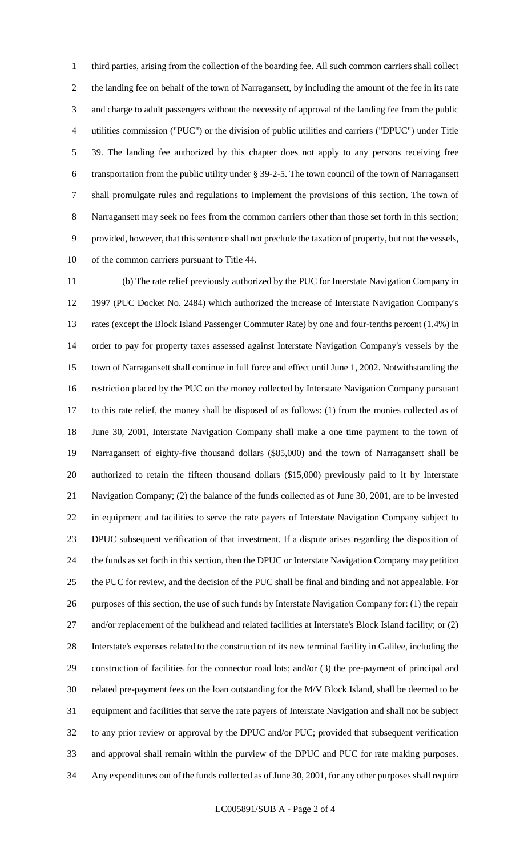third parties, arising from the collection of the boarding fee. All such common carriers shall collect the landing fee on behalf of the town of Narragansett, by including the amount of the fee in its rate and charge to adult passengers without the necessity of approval of the landing fee from the public utilities commission ("PUC") or the division of public utilities and carriers ("DPUC") under Title 39. The landing fee authorized by this chapter does not apply to any persons receiving free transportation from the public utility under § 39-2-5. The town council of the town of Narragansett shall promulgate rules and regulations to implement the provisions of this section. The town of Narragansett may seek no fees from the common carriers other than those set forth in this section; provided, however, that this sentence shall not preclude the taxation of property, but not the vessels, of the common carriers pursuant to Title 44.

 (b) The rate relief previously authorized by the PUC for Interstate Navigation Company in 1997 (PUC Docket No. 2484) which authorized the increase of Interstate Navigation Company's rates (except the Block Island Passenger Commuter Rate) by one and four-tenths percent (1.4%) in order to pay for property taxes assessed against Interstate Navigation Company's vessels by the town of Narragansett shall continue in full force and effect until June 1, 2002. Notwithstanding the restriction placed by the PUC on the money collected by Interstate Navigation Company pursuant to this rate relief, the money shall be disposed of as follows: (1) from the monies collected as of June 30, 2001, Interstate Navigation Company shall make a one time payment to the town of Narragansett of eighty-five thousand dollars (\$85,000) and the town of Narragansett shall be authorized to retain the fifteen thousand dollars (\$15,000) previously paid to it by Interstate Navigation Company; (2) the balance of the funds collected as of June 30, 2001, are to be invested in equipment and facilities to serve the rate payers of Interstate Navigation Company subject to DPUC subsequent verification of that investment. If a dispute arises regarding the disposition of the funds as set forth in this section, then the DPUC or Interstate Navigation Company may petition the PUC for review, and the decision of the PUC shall be final and binding and not appealable. For purposes of this section, the use of such funds by Interstate Navigation Company for: (1) the repair 27 and/or replacement of the bulkhead and related facilities at Interstate's Block Island facility; or (2) Interstate's expenses related to the construction of its new terminal facility in Galilee, including the construction of facilities for the connector road lots; and/or (3) the pre-payment of principal and related pre-payment fees on the loan outstanding for the M/V Block Island, shall be deemed to be equipment and facilities that serve the rate payers of Interstate Navigation and shall not be subject to any prior review or approval by the DPUC and/or PUC; provided that subsequent verification and approval shall remain within the purview of the DPUC and PUC for rate making purposes. Any expenditures out of the funds collected as of June 30, 2001, for any other purposes shall require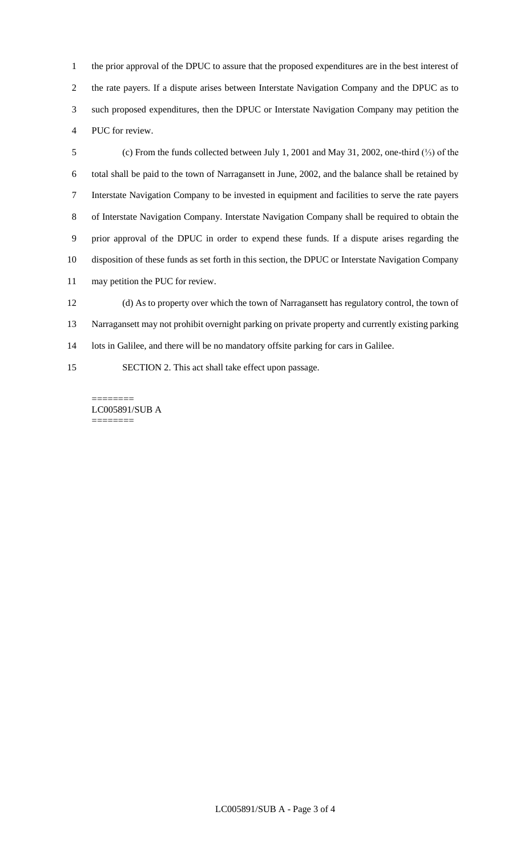the prior approval of the DPUC to assure that the proposed expenditures are in the best interest of the rate payers. If a dispute arises between Interstate Navigation Company and the DPUC as to such proposed expenditures, then the DPUC or Interstate Navigation Company may petition the PUC for review.

 (c) From the funds collected between July 1, 2001 and May 31, 2002, one-third (⅓) of the total shall be paid to the town of Narragansett in June, 2002, and the balance shall be retained by Interstate Navigation Company to be invested in equipment and facilities to serve the rate payers of Interstate Navigation Company. Interstate Navigation Company shall be required to obtain the prior approval of the DPUC in order to expend these funds. If a dispute arises regarding the disposition of these funds as set forth in this section, the DPUC or Interstate Navigation Company may petition the PUC for review.

 (d) As to property over which the town of Narragansett has regulatory control, the town of Narragansett may not prohibit overnight parking on private property and currently existing parking 14 lots in Galilee, and there will be no mandatory offsite parking for cars in Galilee.

SECTION 2. This act shall take effect upon passage.

======== LC005891/SUB A ========